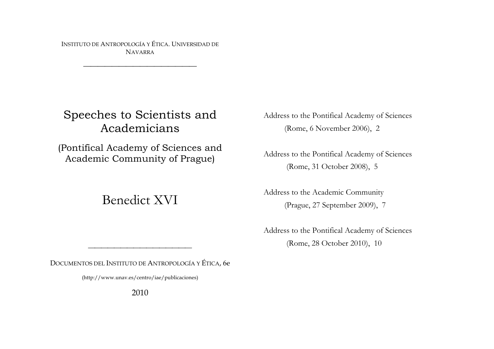INSTITUTO DE ANTROPOLOGÍA Y ÉTICA. UNIVERSIDAD DE NAVARRA

!!!!!!!!!!!!!!!!

# Speeches to Scientists and Academicians

(Pontifical Academy of Sciences and Academic Community of Prague)

# Benedict XVI

Address to the Pontifical Academy of Sciences (Rome, 6 November 2006), 2

Address to the Pontifical Academy of Sciences (Rome, 31 October 2008), 5

Address to the Academic Community (Prague, 27 September 2009), 7

Address to the Pontifical Academy of Sciences (Rome, 28 October 2010), 10

DOCUMENTOS DEL INSTITUTO DE ANTROPOLOGÍA Y ÉTICA, 6e

!!!!!!!!!!!!!!!!

(http://www.unav.es/centro/iae/publicaciones)

2010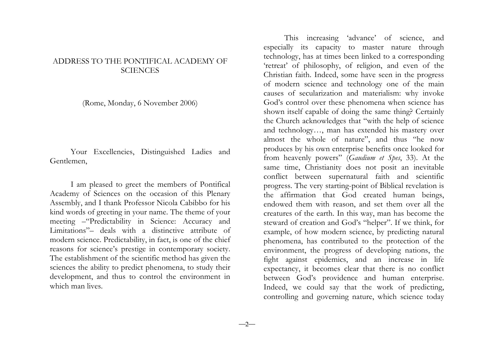## ADDRESS TO THE PONTIFICAL ACADEMY OF **SCIENCES**

(Rome, Monday, 6 November 2006)

Your Excellencies, Distinguished Ladies and Gentlemen,

I am pleased to greet the members of Pontifical Academy of Sciences on the occasion of this Plenary Assembly, and I thank Professor Nicola Cabibbo for his kind words of greeting in your name. The theme of your meeting –"Predictability in Science: Accuracy and Limitations"– deals with a distinctive attribute of modern science. Predictability, in fact, is one of the chief reasons for science's prestige in contemporary society. The establishment of the scientific method has given the sciences the ability to predict phenomena, to study their development, and thus to control the environment in which man lives.

This increasing 'advance' of science, and especially its capacity to master nature through technology, has at times been linked to a corresponding 'retreat' of philosophy, of religion, and even of the Christian faith. Indeed, some have seen in the progress of modern science and technology one of the main causes of secularization and materialism: why invoke God's control over these phenomena when science has shown itself capable of doing the same thing? Certainly the Church acknowledges that "with the help of science and technology…, man has extended his mastery over almost the whole of nature", and thus "he now produces by his own enterprise benefits once looked for from heavenly powers" (*Gaudium et Spes*, 33). At the same time, Christianity does not posit an inevitable conflict between supernatural faith and scientific progress. The very starting-point of Biblical revelation is the affirmation that God created human beings, endowed them with reason, and set them over all the creatures of the earth. In this way, man has become the steward of creation and God's "helper". If we think, for example, of how modern science, by predicting natural phenomena, has contributed to the protection of the environment, the progress of developing nations, the fight against epidemics, and an increase in life expectancy, it becomes clear that there is no conflict between God's providence and human enterprise. Indeed, we could say that the work of predicting, controlling and governing nature, which science today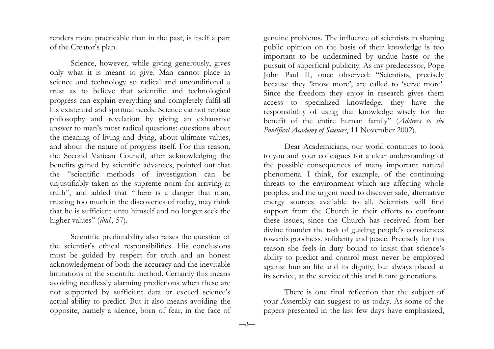renders more practicable than in the past, is itself a part of the Creator's plan.

Science, however, while giving generously, gives only what it is meant to give. Man cannot place in science and technology so radical and unconditional a trust as to believe that scientific and technological progress can explain everything and completely fulfil all his existential and spiritual needs. Science cannot replace philosophy and revelation by giving an exhaustive answer to man's most radical questions: questions about the meaning of living and dying, about ultimate values, and about the nature of progress itself. For this reason, the Second Vatican Council, after acknowledging the benefits gained by scientific advances, pointed out that the "scientific methods of investigation can be unjustifiably taken as the supreme norm for arriving at truth", and added that "there is a danger that man, trusting too much in the discoveries of today, may think that he is sufficient unto himself and no longer seek the higher values" (*ibid*., 57).

Scientific predictability also raises the question of the scientist's ethical responsibilities. His conclusions must be guided by respect for truth and an honest acknowledgment of both the accuracy and the inevitable limitations of the scientific method. Certainly this means avoiding needlessly alarming predictions when these are not supported by sufficient data or exceed science's actual ability to predict. But it also means avoiding the opposite, namely a silence, born of fear, in the face of

genuine problems. The influence of scientists in shaping public opinion on the basis of their knowledge is too important to be undermined by undue haste or the pursuit of superficial publicity. As my predecessor, Pope John Paul II, once observed: "Scientists, precisely because they 'know more', are called to 'serve more'. Since the freedom they enjoy in research gives them access to specialized knowledge, they have the responsibility of using that knowledge wisely for the benefit of the entire human family" (*Address to the Pontifical Academy of Sciences*, 11 November 2002).

Dear Academicians, our world continues to look to you and your colleagues for a clear understanding of the possible consequences of many important natural phenomena. I think, for example, of the continuing threats to the environment which are affecting whole peoples, and the urgent need to discover safe, alternative energy sources available to all. Scientists will find support from the Church in their efforts to confront these issues, since the Church has received from her divine founder the task of guiding people's consciences towards goodness, solidarity and peace. Precisely for this reason she feels in duty bound to insist that science's ability to predict and control must never be employed against human life and its dignity, but always placed at its service, at the service of this and future generations.

There is one final reflection that the subject of your Assembly can suggest to us today. As some of the papers presented in the last few days have emphasized,

 $-3$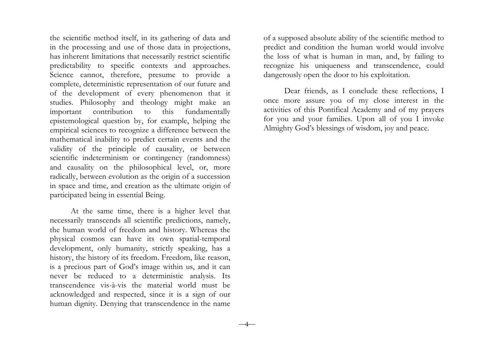the scientific method itself, in its gathering of data and in the processing and use of those data in projections, has inherent limitations that necessarily restrict scientific predictability to specific contexts and approaches. Science cannot, therefore, presume to provide a complete, deterministic representation of our future and of the development of every phenomenon that it studies. Philosophy and theology might make an important contribution to this fundamentally epistemological question by, for example, helping the empirical sciences to recognize a difference between the mathematical inability to predict certain events and the validity of the principle of causality, or between scientific indeterminism or contingency (randomness) and causality on the philosophical level, or, more radically, between evolution as the origin of a succession in space and time, and creation as the ultimate origin of participated being in essential Being.

At the same time, there is a higher level that necessarily transcends all scientific predictions, namely, the human world of freedom and history. Whereas the physical cosmos can have its own spatial-temporal development, only humanity, strictly speaking, has a history, the history of its freedom. Freedom, like reason, is a precious part of God's image within us, and it can never be reduced to a deterministic analysis. Its transcendence vis-à-vis the material world must be acknowledged and respected, since it is a sign of our human dignity. Denying that transcendence in the name

 $-4-$ 

of a supposed absolute ability of the scientific method to predict and condition the human world would involve the loss of what is human in man, and, by failing to recognize his uniqueness and transcendence, could dangerously open the door to his exploitation.

Dear friends, as I conclude these reflections, I once more assure you of my close interest in the activities of this Pontifical Academy and of my prayers for you and your families. Upon all of you I invoke Almighty God's blessings of wisdom, joy and peace.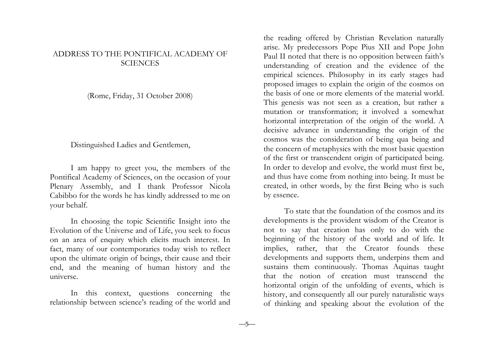## ADDRESS TO THE PONTIFICAL ACADEMY OF **SCIENCES**

(Rome, Friday, 31 October 2008)

#### Distinguished Ladies and Gentlemen,

I am happy to greet you, the members of the Pontifical Academy of Sciences, on the occasion of your Plenary Assembly, and I thank Professor Nicola Cabibbo for the words he has kindly addressed to me on your behalf.

In choosing the topic Scientific Insight into the Evolution of the Universe and of Life, you seek to focus on an area of enquiry which elicits much interest. In fact, many of our contemporaries today wish to reflect upon the ultimate origin of beings, their cause and their end, and the meaning of human history and the universe.

In this context, questions concerning the relationship between science's reading of the world and

the reading offered by Christian Revelation naturally arise. My predecessors Pope Pius XII and Pope John Paul II noted that there is no opposition between faith's understanding of creation and the evidence of the empirical sciences. Philosophy in its early stages had proposed images to explain the origin of the cosmos on the basis of one or more elements of the material world. This genesis was not seen as a creation, but rather a mutation or transformation; it involved a somewhat horizontal interpretation of the origin of the world. A decisive advance in understanding the origin of the cosmos was the consideration of being qua being and the concern of metaphysics with the most basic question of the first or transcendent origin of participated being. In order to develop and evolve, the world must first be, and thus have come from nothing into being. It must be created, in other words, by the first Being who is such by essence.

To state that the foundation of the cosmos and its developments is the provident wisdom of the Creator is not to say that creation has only to do with the beginning of the history of the world and of life. It implies, rather, that the Creator founds these developments and supports them, underpins them and sustains them continuously. Thomas Aquinas taught that the notion of creation must transcend the horizontal origin of the unfolding of events, which is history, and consequently all our purely naturalistic ways of thinking and speaking about the evolution of the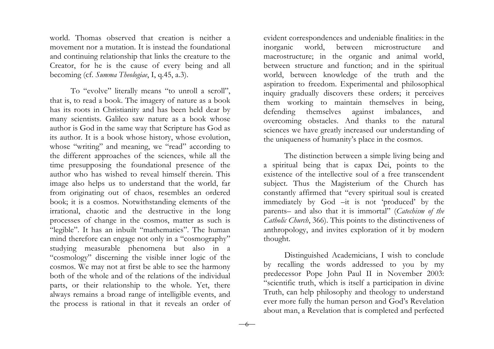world. Thomas observed that creation is neither a movement nor a mutation. It is instead the foundational and continuing relationship that links the creature to the Creator, for he is the cause of every being and all becoming (cf. *Summa Theologiae*, I, q.45, a.3).

To "evolve" literally means "to unroll a scroll", that is, to read a book. The imagery of nature as a book has its roots in Christianity and has been held dear by many scientists. Galileo saw nature as a book whose author is God in the same way that Scripture has God as its author. It is a book whose history, whose evolution, whose "writing" and meaning, we "read" according to the different approaches of the sciences, while all the time presupposing the foundational presence of the author who has wished to reveal himself therein. This image also helps us to understand that the world, far from originating out of chaos, resembles an ordered book; it is a cosmos. Notwithstanding elements of the irrational, chaotic and the destructive in the long processes of change in the cosmos, matter as such is "legible". It has an inbuilt "mathematics". The human mind therefore can engage not only in a "cosmography" studying measurable phenomena but also in a "cosmology" discerning the visible inner logic of the cosmos. We may not at first be able to see the harmony both of the whole and of the relations of the individual parts, or their relationship to the whole. Yet, there always remains a broad range of intelligible events, and the process is rational in that it reveals an order of evident correspondences and undeniable finalities: in the inorganic world, between microstructure and macrostructure; in the organic and animal world, between structure and function; and in the spiritual world, between knowledge of the truth and the aspiration to freedom. Experimental and philosophical inquiry gradually discovers these orders; it perceives them working to maintain themselves in being, defending themselves against imbalances, and overcoming obstacles. And thanks to the natural sciences we have greatly increased our understanding of the uniqueness of humanity's place in the cosmos.

The distinction between a simple living being and a spiritual being that is capax Dei, points to the existence of the intellective soul of a free transcendent subject. Thus the Magisterium of the Church has constantly affirmed that "every spiritual soul is created immediately by God –it is not 'produced' by the parents– and also that it is immortal" (*Catechism of the Catholic Church*, 366). This points to the distinctiveness of anthropology, and invites exploration of it by modern thought.

Distinguished Academicians, I wish to conclude by recalling the words addressed to you by my predecessor Pope John Paul II in November 2003: "scientific truth, which is itself a participation in divine Truth, can help philosophy and theology to understand ever more fully the human person and God's Revelation about man, a Revelation that is completed and perfected

 $-6$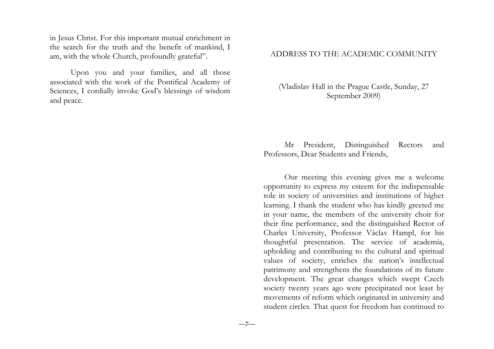in Jesus Christ. For this important mutual enrichment in the search for the truth and the benefit of mankind, I am, with the whole Church, profoundly grateful".

Upon you and your families, and all those associated with the work of the Pontifical Academy of Sciences, I cordially invoke God's blessings of wisdom and peace.

#### ADDRESS TO THE ACADEMIC COMMUNITY

(Vladislav Hall in the Prague Castle, Sunday, 27 September 2009)

Mr President, Distinguished Rectors and Professors, Dear Students and Friends,

Our meeting this evening gives me a welcome opportunity to express my esteem for the indispensable role in society of universities and institutions of higher learning. I thank the student who has kindly greeted me in your name, the members of the university choir for their fine performance, and the distinguished Rector of Charles University, Professor Václav Hampl, for his thoughtful presentation. The service of academia, upholding and contributing to the cultural and spiritual values of society, enriches the nation's intellectual patrimony and strengthens the foundations of its future development. The great changes which swept Czech society twenty years ago were precipitated not least by movements of reform which originated in university and student circles. That quest for freedom has continued to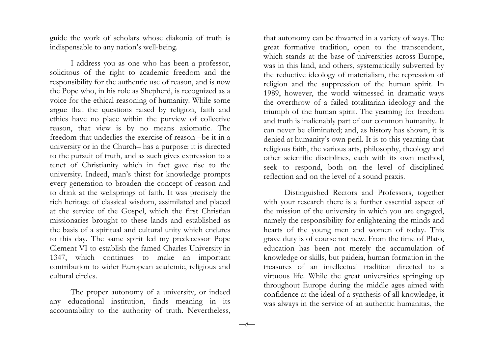guide the work of scholars whose diakonia of truth is indispensable to any nation's well-being.

I address you as one who has been a professor, solicitous of the right to academic freedom and the responsibility for the authentic use of reason, and is now the Pope who, in his role as Shepherd, is recognized as a voice for the ethical reasoning of humanity. While some argue that the questions raised by religion, faith and ethics have no place within the purview of collective reason, that view is by no means axiomatic. The freedom that underlies the exercise of reason –be it in a university or in the Church– has a purpose: it is directed to the pursuit of truth, and as such gives expression to a tenet of Christianity which in fact gave rise to the university. Indeed, man's thirst for knowledge prompts every generation to broaden the concept of reason and to drink at the wellsprings of faith. It was precisely the rich heritage of classical wisdom, assimilated and placed at the service of the Gospel, which the first Christian missionaries brought to these lands and established as the basis of a spiritual and cultural unity which endures to this day. The same spirit led my predecessor Pope Clement VI to establish the famed Charles University in 1347, which continues to make an important contribution to wider European academic, religious and cultural circles.

The proper autonomy of a university, or indeed any educational institution, finds meaning in its accountability to the authority of truth. Nevertheless,

 $-8$ 

that autonomy can be thwarted in a variety of ways. The great formative tradition, open to the transcendent, which stands at the base of universities across Europe, was in this land, and others, systematically subverted by the reductive ideology of materialism, the repression of religion and the suppression of the human spirit. In 1989, however, the world witnessed in dramatic ways the overthrow of a failed totalitarian ideology and the triumph of the human spirit. The yearning for freedom and truth is inalienably part of our common humanity. It can never be eliminated; and, as history has shown, it is denied at humanity's own peril. It is to this yearning that religious faith, the various arts, philosophy, theology and other scientific disciplines, each with its own method, seek to respond, both on the level of disciplined reflection and on the level of a sound praxis.

Distinguished Rectors and Professors, together with your research there is a further essential aspect of the mission of the university in which you are engaged, namely the responsibility for enlightening the minds and hearts of the young men and women of today. This grave duty is of course not new. From the time of Plato, education has been not merely the accumulation of knowledge or skills, but paideia, human formation in the treasures of an intellectual tradition directed to a virtuous life. While the great universities springing up throughout Europe during the middle ages aimed with confidence at the ideal of a synthesis of all knowledge, it was always in the service of an authentic humanitas, the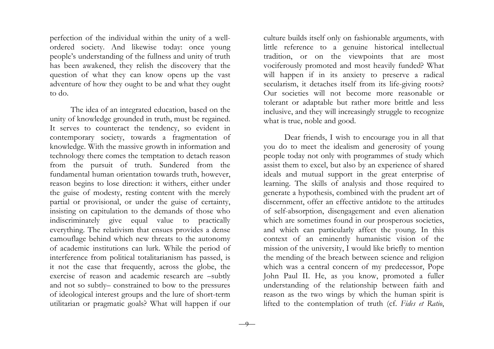perfection of the individual within the unity of a wellordered society. And likewise today: once young people's understanding of the fullness and unity of truth has been awakened, they relish the discovery that the question of what they can know opens up the vast adventure of how they ought to be and what they ought to do.

The idea of an integrated education, based on the unity of knowledge grounded in truth, must be regained. It serves to counteract the tendency, so evident in contemporary society, towards a fragmentation of knowledge. With the massive growth in information and technology there comes the temptation to detach reason from the pursuit of truth. Sundered from the fundamental human orientation towards truth, however, reason begins to lose direction: it withers, either under the guise of modesty, resting content with the merely partial or provisional, or under the guise of certainty, insisting on capitulation to the demands of those who indiscriminately give equal value to practically everything. The relativism that ensues provides a dense camouflage behind which new threats to the autonomy of academic institutions can lurk. While the period of interference from political totalitarianism has passed, is it not the case that frequently, across the globe, the exercise of reason and academic research are –subtly and not so subtly– constrained to bow to the pressures of ideological interest groups and the lure of short-term utilitarian or pragmatic goals? What will happen if our

culture builds itself only on fashionable arguments, with little reference to a genuine historical intellectual tradition, or on the viewpoints that are most vociferously promoted and most heavily funded? What will happen if in its anxiety to preserve a radical secularism, it detaches itself from its life-giving roots? Our societies will not become more reasonable or tolerant or adaptable but rather more brittle and less inclusive, and they will increasingly struggle to recognize what is true, noble and good.

Dear friends, I wish to encourage you in all that you do to meet the idealism and generosity of young people today not only with programmes of study which assist them to excel, but also by an experience of shared ideals and mutual support in the great enterprise of learning. The skills of analysis and those required to generate a hypothesis, combined with the prudent art of discernment, offer an effective antidote to the attitudes of self-absorption, disengagement and even alienation which are sometimes found in our prosperous societies, and which can particularly affect the young. In this context of an eminently humanistic vision of the mission of the university, I would like briefly to mention the mending of the breach between science and religion which was a central concern of my predecessor, Pope John Paul II. He, as you know, promoted a fuller understanding of the relationship between faith and reason as the two wings by which the human spirit is lifted to the contemplation of truth (cf. *Fides et Ratio*,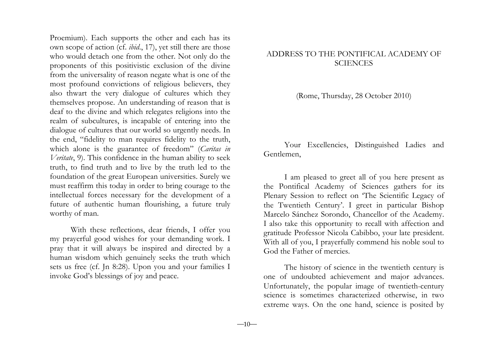Proemium). Each supports the other and each has its own scope of action (cf. *ibid*., 17), yet still there are those who would detach one from the other. Not only do the proponents of this positivistic exclusion of the divine from the universality of reason negate what is one of the most profound convictions of religious believers, they also thwart the very dialogue of cultures which they themselves propose. An understanding of reason that is deaf to the divine and which relegates religions into the realm of subcultures, is incapable of entering into the dialogue of cultures that our world so urgently needs. In the end, "fidelity to man requires fidelity to the truth, which alone is the guarantee of freedom" (*Caritas in Veritate*, 9). This confidence in the human ability to seek truth, to find truth and to live by the truth led to the foundation of the great European universities. Surely we must reaffirm this today in order to bring courage to the intellectual forces necessary for the development of a future of authentic human flourishing, a future truly worthy of man.

With these reflections, dear friends, I offer you my prayerful good wishes for your demanding work. I pray that it will always be inspired and directed by a human wisdom which genuinely seeks the truth which sets us free (cf. Jn 8:28). Upon you and your families I invoke God's blessings of joy and peace.

#### ADDRESS TO THE PONTIFICAL ACADEMY OF **SCIENCES**

(Rome, Thursday, 28 October 2010)

Your Excellencies, Distinguished Ladies and Gentlemen,

I am pleased to greet all of you here present as the Pontifical Academy of Sciences gathers for its Plenary Session to reflect on 'The Scientific Legacy of the Twentieth Century'. I greet in particular Bishop Marcelo Sánchez Sorondo, Chancellor of the Academy. I also take this opportunity to recall with affection and gratitude Professor Nicola Cabibbo, your late president. With all of you, I prayerfully commend his noble soul to God the Father of mercies.

The history of science in the twentieth century is one of undoubted achievement and major advances. Unfortunately, the popular image of twentieth-century science is sometimes characterized otherwise, in two extreme ways. On the one hand, science is posited by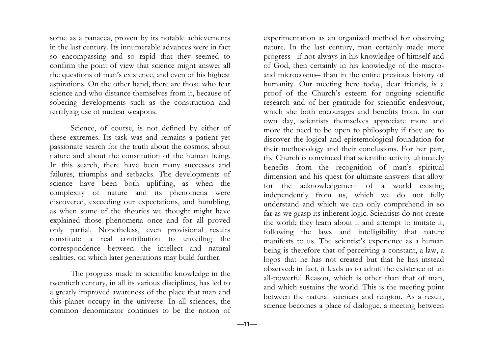some as a panacea, proven by its notable achievements in the last century. Its innumerable advances were in fact so encompassing and so rapid that they seemed to confirm the point of view that science might answer all the questions of man's existence, and even of his highest aspirations. On the other hand, there are those who fear science and who distance themselves from it, because of sobering developments such as the construction and terrifying use of nuclear weapons.

Science, of course, is not defined by either of these extremes. Its task was and remains a patient yet passionate search for the truth about the cosmos, about nature and about the constitution of the human being. In this search, there have been many successes and failures, triumphs and setbacks. The developments of science have been both uplifting, as when the complexity of nature and its phenomena were discovered, exceeding our expectations, and humbling, as when some of the theories we thought might have explained those phenomena once and for all proved only partial. Nonetheless, even provisional results constitute a real contribution to unveiling the correspondence between the intellect and natural realities, on which later generations may build further.

The progress made in scientific knowledge in the twentieth century, in all its various disciplines, has led to a greatly improved awareness of the place that man and this planet occupy in the universe. In all sciences, the common denominator continues to be the notion of

experimentation as an organized method for observing nature. In the last century, man certainly made more progress –if not always in his knowledge of himself and of God, then certainly in his knowledge of the macroand microcosms– than in the entire previous history of humanity. Our meeting here today, dear friends, is a proof of the Church's esteem for ongoing scientific research and of her gratitude for scientific endeavour, which she both encourages and benefits from. In our own day, scientists themselves appreciate more and more the need to be open to philosophy if they are to discover the logical and epistemological foundation for their methodology and their conclusions. For her part, the Church is convinced that scientific activity ultimately benefits from the recognition of man's spiritual dimension and his quest for ultimate answers that allow for the acknowledgement of a world existing independently from us, which we do not fully understand and which we can only comprehend in so far as we grasp its inherent logic. Scientists do not create the world; they learn about it and attempt to imitate it, following the laws and intelligibility that nature manifests to us. The scientist's experience as a human being is therefore that of perceiving a constant, a law, a logos that he has not created but that he has instead observed: in fact, it leads us to admit the existence of an all-powerful Reason, which is other than that of man, and which sustains the world. This is the meeting point between the natural sciences and religion. As a result, science becomes a place of dialogue, a meeting between